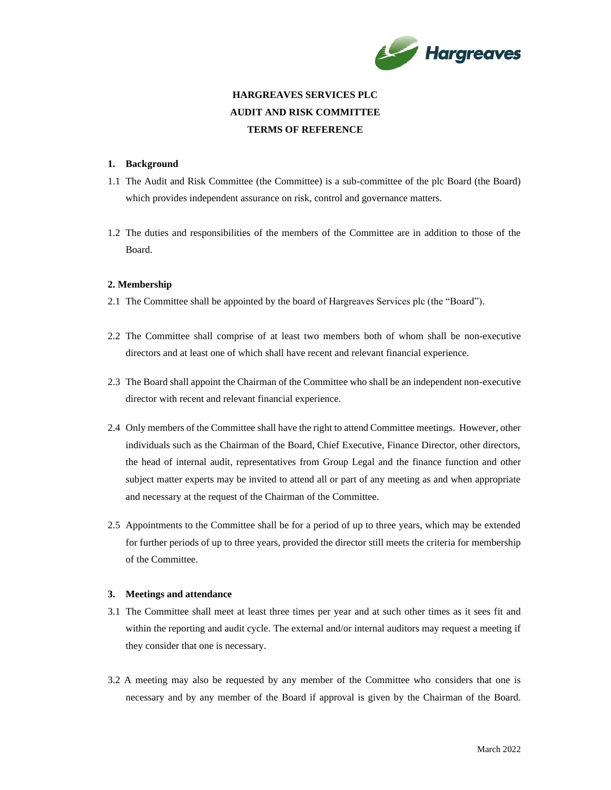

# **HARGREAVES SERVICES PLC AUDIT AND RISK COMMITTEE TERMS OF REFERENCE**

# **1. Background**

- 1.1 The Audit and Risk Committee (the Committee) is a sub-committee of the plc Board (the Board) which provides independent assurance on risk, control and governance matters.
- 1.2 The duties and responsibilities of the members of the Committee are in addition to those of the Board.

# **2. Membership**

- 2.1 The Committee shall be appointed by the board of Hargreaves Services plc (the "Board").
- 2.2 The Committee shall comprise of at least two members both of whom shall be non-executive directors and at least one of which shall have recent and relevant financial experience.
- 2.3 The Board shall appoint the Chairman of the Committee who shall be an independent non-executive director with recent and relevant financial experience.
- 2.4 Only members of the Committee shall have the right to attend Committee meetings. However, other individuals such as the Chairman of the Board, Chief Executive, Finance Director, other directors, the head of internal audit, representatives from Group Legal and the finance function and other subject matter experts may be invited to attend all or part of any meeting as and when appropriate and necessary at the request of the Chairman of the Committee.
- 2.5 Appointments to the Committee shall be for a period of up to three years, which may be extended for further periods of up to three years, provided the director still meets the criteria for membership of the Committee.

## **3. Meetings and attendance**

- 3.1 The Committee shall meet at least three times per year and at such other times as it sees fit and within the reporting and audit cycle. The external and/or internal auditors may request a meeting if they consider that one is necessary.
- 3.2 A meeting may also be requested by any member of the Committee who considers that one is necessary and by any member of the Board if approval is given by the Chairman of the Board.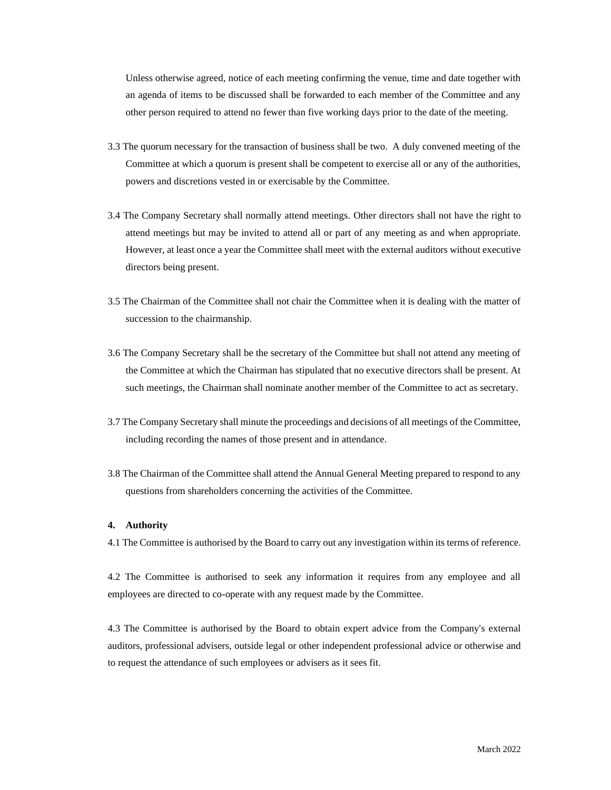Unless otherwise agreed, notice of each meeting confirming the venue, time and date together with an agenda of items to be discussed shall be forwarded to each member of the Committee and any other person required to attend no fewer than five working days prior to the date of the meeting.

- 3.3 The quorum necessary for the transaction of business shall be two. A duly convened meeting of the Committee at which a quorum is present shall be competent to exercise all or any of the authorities, powers and discretions vested in or exercisable by the Committee.
- 3.4 The Company Secretary shall normally attend meetings. Other directors shall not have the right to attend meetings but may be invited to attend all or part of any meeting as and when appropriate. However, at least once a year the Committee shall meet with the external auditors without executive directors being present.
- 3.5 The Chairman of the Committee shall not chair the Committee when it is dealing with the matter of succession to the chairmanship.
- 3.6 The Company Secretary shall be the secretary of the Committee but shall not attend any meeting of the Committee at which the Chairman has stipulated that no executive directors shall be present. At such meetings, the Chairman shall nominate another member of the Committee to act as secretary.
- 3.7 The Company Secretary shall minute the proceedings and decisions of all meetings of the Committee, including recording the names of those present and in attendance.
- 3.8 The Chairman of the Committee shall attend the Annual General Meeting prepared to respond to any questions from shareholders concerning the activities of the Committee.

#### **4. Authority**

4.1 The Committee is authorised by the Board to carry out any investigation within its terms of reference.

4.2 The Committee is authorised to seek any information it requires from any employee and all employees are directed to co-operate with any request made by the Committee.

4.3 The Committee is authorised by the Board to obtain expert advice from the Company's external auditors, professional advisers, outside legal or other independent professional advice or otherwise and to request the attendance of such employees or advisers as it sees fit.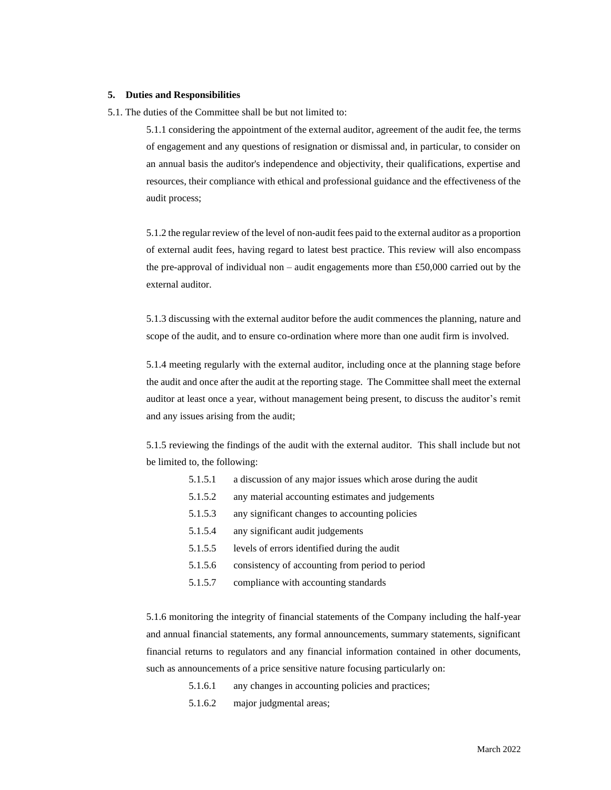#### **5. Duties and Responsibilities**

5.1. The duties of the Committee shall be but not limited to:

5.1.1 considering the appointment of the external auditor, agreement of the audit fee, the terms of engagement and any questions of resignation or dismissal and, in particular, to consider on an annual basis the auditor's independence and objectivity, their qualifications, expertise and resources, their compliance with ethical and professional guidance and the effectiveness of the audit process;

5.1.2 the regular review of the level of non-audit fees paid to the external auditor as a proportion of external audit fees, having regard to latest best practice. This review will also encompass the pre-approval of individual non – audit engagements more than  $£50,000$  carried out by the external auditor.

5.1.3 discussing with the external auditor before the audit commences the planning, nature and scope of the audit, and to ensure co-ordination where more than one audit firm is involved.

5.1.4 meeting regularly with the external auditor, including once at the planning stage before the audit and once after the audit at the reporting stage. The Committee shall meet the external auditor at least once a year, without management being present, to discuss the auditor's remit and any issues arising from the audit;

5.1.5 reviewing the findings of the audit with the external auditor. This shall include but not be limited to, the following:

- 5.1.5.1 a discussion of any major issues which arose during the audit
- 5.1.5.2 any material accounting estimates and judgements
- 5.1.5.3 any significant changes to accounting policies
- 5.1.5.4 any significant audit judgements
- 5.1.5.5 levels of errors identified during the audit
- 5.1.5.6 consistency of accounting from period to period
- 5.1.5.7 compliance with accounting standards

5.1.6 monitoring the integrity of financial statements of the Company including the half-year and annual financial statements, any formal announcements, summary statements, significant financial returns to regulators and any financial information contained in other documents, such as announcements of a price sensitive nature focusing particularly on:

- 5.1.6.1 any changes in accounting policies and practices;
- 5.1.6.2 major judgmental areas;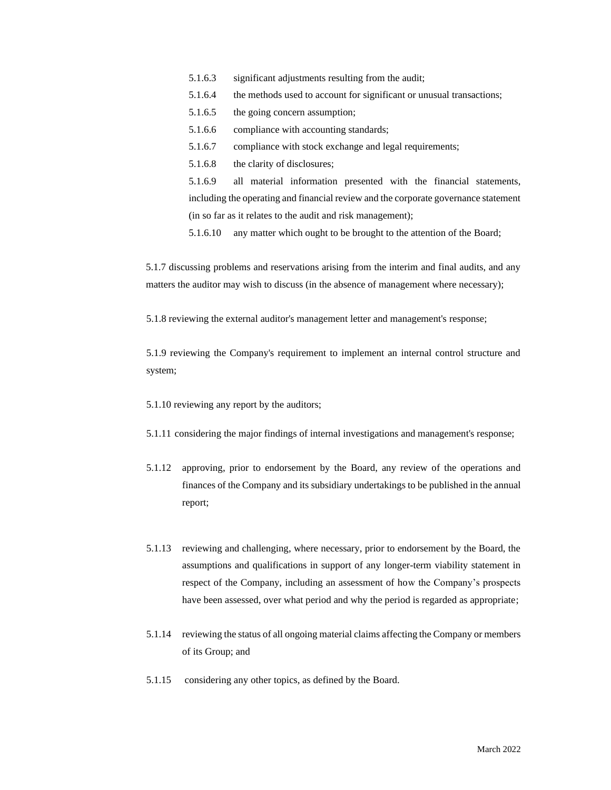- 5.1.6.3 significant adjustments resulting from the audit;
- 5.1.6.4 the methods used to account for significant or unusual transactions;
- 5.1.6.5 the going concern assumption;
- 5.1.6.6 compliance with accounting standards;
- 5.1.6.7 compliance with stock exchange and legal requirements;
- 5.1.6.8 the clarity of disclosures;

5.1.6.9 all material information presented with the financial statements, including the operating and financial review and the corporate governance statement (in so far as it relates to the audit and risk management);

5.1.6.10 any matter which ought to be brought to the attention of the Board;

5.1.7 discussing problems and reservations arising from the interim and final audits, and any matters the auditor may wish to discuss (in the absence of management where necessary);

5.1.8 reviewing the external auditor's management letter and management's response;

5.1.9 reviewing the Company's requirement to implement an internal control structure and system;

5.1.10 reviewing any report by the auditors;

- 5.1.11 considering the major findings of internal investigations and management's response;
- 5.1.12 approving, prior to endorsement by the Board, any review of the operations and finances of the Company and its subsidiary undertakings to be published in the annual report;
- 5.1.13 reviewing and challenging, where necessary, prior to endorsement by the Board, the assumptions and qualifications in support of any longer-term viability statement in respect of the Company, including an assessment of how the Company's prospects have been assessed, over what period and why the period is regarded as appropriate;
- 5.1.14 reviewing the status of all ongoing material claims affecting the Company or members of its Group; and
- 5.1.15 considering any other topics, as defined by the Board.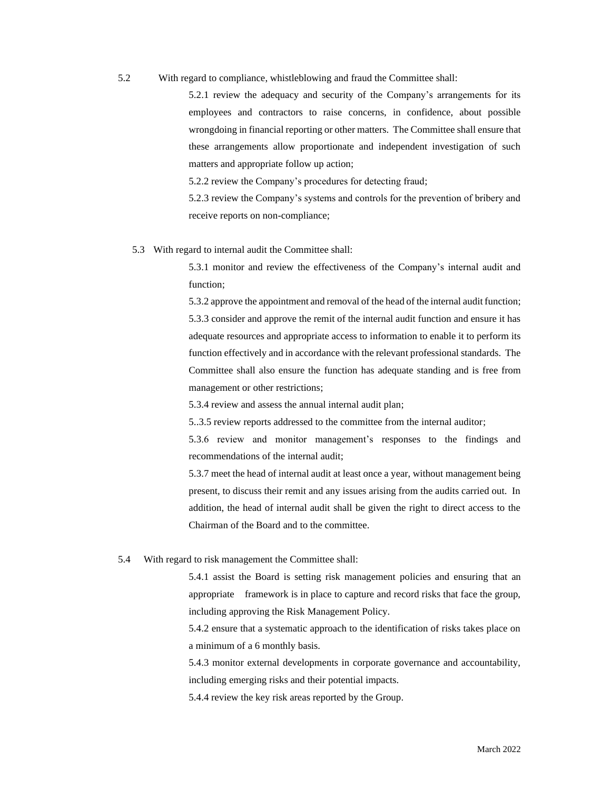5.2 With regard to compliance, whistleblowing and fraud the Committee shall:

5.2.1 review the adequacy and security of the Company's arrangements for its employees and contractors to raise concerns, in confidence, about possible wrongdoing in financial reporting or other matters. The Committee shall ensure that these arrangements allow proportionate and independent investigation of such matters and appropriate follow up action;

5.2.2 review the Company's procedures for detecting fraud;

5.2.3 review the Company's systems and controls for the prevention of bribery and receive reports on non-compliance;

5.3 With regard to internal audit the Committee shall:

5.3.1 monitor and review the effectiveness of the Company's internal audit and function;

5.3.2 approve the appointment and removal of the head of the internal audit function; 5.3.3 consider and approve the remit of the internal audit function and ensure it has adequate resources and appropriate access to information to enable it to perform its function effectively and in accordance with the relevant professional standards. The Committee shall also ensure the function has adequate standing and is free from management or other restrictions;

5.3.4 review and assess the annual internal audit plan;

5..3.5 review reports addressed to the committee from the internal auditor;

5.3.6 review and monitor management's responses to the findings and recommendations of the internal audit;

5.3.7 meet the head of internal audit at least once a year, without management being present, to discuss their remit and any issues arising from the audits carried out. In addition, the head of internal audit shall be given the right to direct access to the Chairman of the Board and to the committee.

5.4 With regard to risk management the Committee shall:

5.4.1 assist the Board is setting risk management policies and ensuring that an appropriate framework is in place to capture and record risks that face the group, including approving the Risk Management Policy.

5.4.2 ensure that a systematic approach to the identification of risks takes place on a minimum of a 6 monthly basis.

5.4.3 monitor external developments in corporate governance and accountability, including emerging risks and their potential impacts.

5.4.4 review the key risk areas reported by the Group.